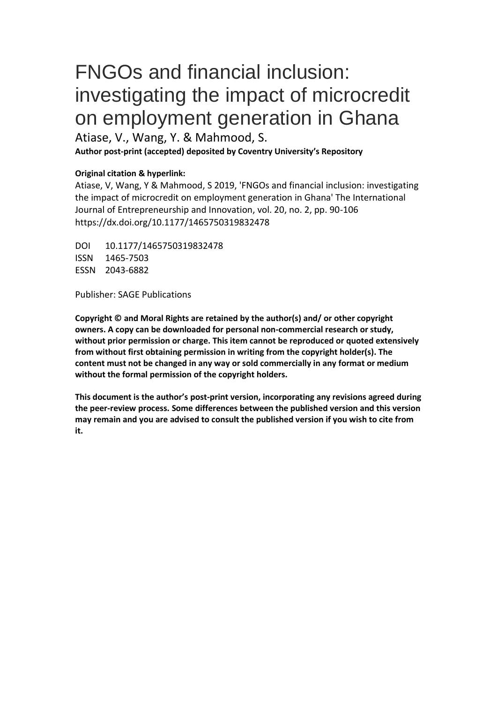# FNGOs and financial inclusion: investigating the impact of microcredit on employment generation in Ghana

Atiase, V., Wang, Y. & Mahmood, S.

**Author post-print (accepted) deposited by Coventry University's Repository**

#### **Original citation & hyperlink:**

Atiase, V, Wang, Y & Mahmood, S 2019, 'FNGOs and financial inclusion: investigating the impact of microcredit on employment generation in Ghana' The International Journal of Entrepreneurship and Innovation, vol. 20, no. 2, pp. 90-106 https://dx.doi.org/10.1177/1465750319832478

DOI 10.1177/1465750319832478 ISSN 1465-7503 ESSN 2043-6882

Publisher: SAGE Publications

**Copyright © and Moral Rights are retained by the author(s) and/ or other copyright owners. A copy can be downloaded for personal non-commercial research or study, without prior permission or charge. This item cannot be reproduced or quoted extensively from without first obtaining permission in writing from the copyright holder(s). The content must not be changed in any way or sold commercially in any format or medium without the formal permission of the copyright holders.** 

**This document is the author's post-print version, incorporating any revisions agreed during the peer-review process. Some differences between the published version and this version may remain and you are advised to consult the published version if you wish to cite from it.**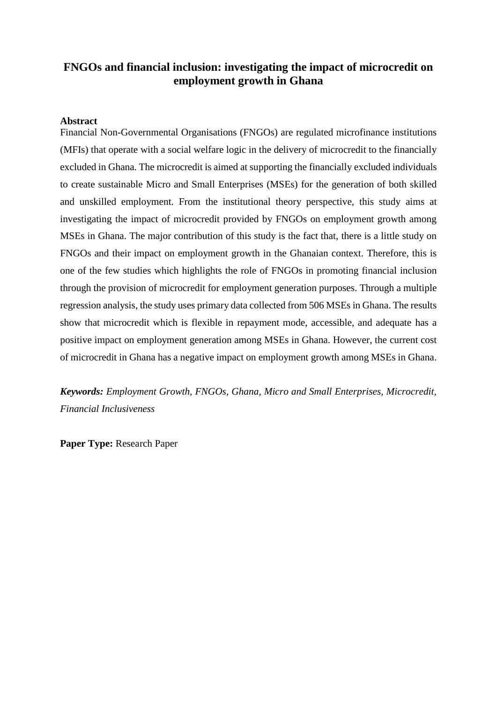### **FNGOs and financial inclusion: investigating the impact of microcredit on employment growth in Ghana**

#### **Abstract**

Financial Non-Governmental Organisations (FNGOs) are regulated microfinance institutions (MFIs) that operate with a social welfare logic in the delivery of microcredit to the financially excluded in Ghana. The microcredit is aimed at supporting the financially excluded individuals to create sustainable Micro and Small Enterprises (MSEs) for the generation of both skilled and unskilled employment. From the institutional theory perspective, this study aims at investigating the impact of microcredit provided by FNGOs on employment growth among MSEs in Ghana. The major contribution of this study is the fact that, there is a little study on FNGOs and their impact on employment growth in the Ghanaian context. Therefore, this is one of the few studies which highlights the role of FNGOs in promoting financial inclusion through the provision of microcredit for employment generation purposes. Through a multiple regression analysis, the study uses primary data collected from 506 MSEs in Ghana. The results show that microcredit which is flexible in repayment mode, accessible, and adequate has a positive impact on employment generation among MSEs in Ghana. However, the current cost of microcredit in Ghana has a negative impact on employment growth among MSEs in Ghana.

*Keywords: Employment Growth, FNGOs, Ghana, Micro and Small Enterprises, Microcredit, Financial Inclusiveness* 

**Paper Type:** Research Paper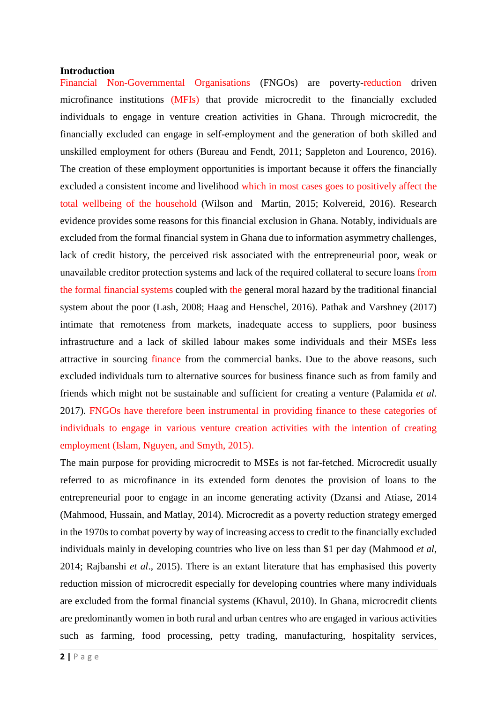#### **Introduction**

Financial Non-Governmental Organisations (FNGOs) are poverty-reduction driven microfinance institutions (MFIs) that provide microcredit to the financially excluded individuals to engage in venture creation activities in Ghana. Through microcredit, the financially excluded can engage in self-employment and the generation of both skilled and unskilled employment for others (Bureau and Fendt, 2011; Sappleton and Lourenco, 2016). The creation of these employment opportunities is important because it offers the financially excluded a consistent income and livelihood which in most cases goes to positively affect the total wellbeing of the household (Wilson and Martin, 2015; Kolvereid, 2016). Research evidence provides some reasons for this financial exclusion in Ghana. Notably, individuals are excluded from the formal financial system in Ghana due to information asymmetry challenges, lack of credit history, the perceived risk associated with the entrepreneurial poor, weak or unavailable creditor protection systems and lack of the required collateral to secure loans from the formal financial systems coupled with the general moral hazard by the traditional financial system about the poor (Lash, 2008; Haag and Henschel, 2016). Pathak and Varshney (2017) intimate that remoteness from markets, inadequate access to suppliers, poor business infrastructure and a lack of skilled labour makes some individuals and their MSEs less attractive in sourcing finance from the commercial banks. Due to the above reasons, such excluded individuals turn to alternative sources for business finance such as from family and friends which might not be sustainable and sufficient for creating a venture (Palamida *et al*. 2017). FNGOs have therefore been instrumental in providing finance to these categories of individuals to engage in various venture creation activities with the intention of creating employment (Islam, Nguyen, and Smyth, 2015).

The main purpose for providing microcredit to MSEs is not far-fetched. Microcredit usually referred to as microfinance in its extended form denotes the provision of loans to the entrepreneurial poor to engage in an income generating activity (Dzansi and Atiase, 2014 (Mahmood, Hussain, and Matlay, 2014). Microcredit as a poverty reduction strategy emerged in the 1970s to combat poverty by way of increasing access to credit to the financially excluded individuals mainly in developing countries who live on less than \$1 per day (Mahmood *et al*, 2014; Rajbanshi *et al*., 2015). There is an extant literature that has emphasised this poverty reduction mission of microcredit especially for developing countries where many individuals are excluded from the formal financial systems (Khavul, 2010). In Ghana, microcredit clients are predominantly women in both rural and urban centres who are engaged in various activities such as farming, food processing, petty trading, manufacturing, hospitality services,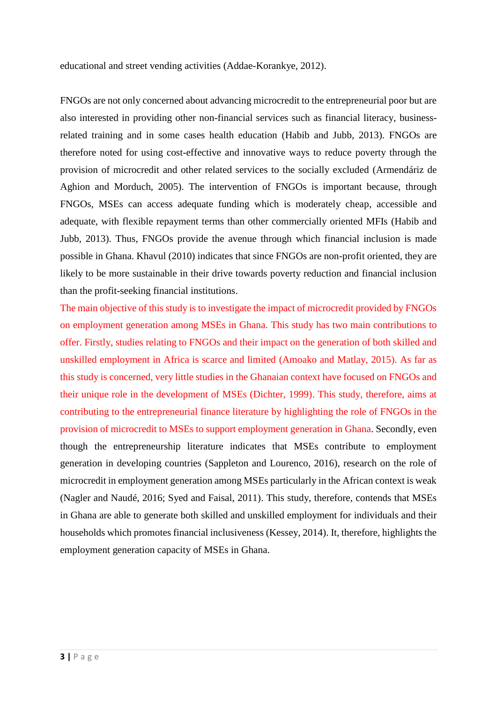educational and street vending activities (Addae-Korankye, 2012).

FNGOs are not only concerned about advancing microcredit to the entrepreneurial poor but are also interested in providing other non-financial services such as financial literacy, businessrelated training and in some cases health education (Habib and Jubb, 2013). FNGOs are therefore noted for using cost-effective and innovative ways to reduce poverty through the provision of microcredit and other related services to the socially excluded (Armendáriz de Aghion and Morduch, 2005). The intervention of FNGOs is important because, through FNGOs, MSEs can access adequate funding which is moderately cheap, accessible and adequate, with flexible repayment terms than other commercially oriented MFIs (Habib and Jubb, 2013). Thus, FNGOs provide the avenue through which financial inclusion is made possible in Ghana. Khavul (2010) indicates that since FNGOs are non-profit oriented, they are likely to be more sustainable in their drive towards poverty reduction and financial inclusion than the profit-seeking financial institutions.

The main objective of this study is to investigate the impact of microcredit provided by FNGOs on employment generation among MSEs in Ghana. This study has two main contributions to offer. Firstly, studies relating to FNGOs and their impact on the generation of both skilled and unskilled employment in Africa is scarce and limited (Amoako and Matlay, 2015). As far as this study is concerned, very little studies in the Ghanaian context have focused on FNGOs and their unique role in the development of MSEs (Dichter, 1999). This study, therefore, aims at contributing to the entrepreneurial finance literature by highlighting the role of FNGOs in the provision of microcredit to MSEs to support employment generation in Ghana. Secondly, even though the entrepreneurship literature indicates that MSEs contribute to employment generation in developing countries (Sappleton and Lourenco, 2016), research on the role of microcredit in employment generation among MSEs particularly in the African context is weak (Nagler and Naudé, 2016; Syed and Faisal, 2011). This study, therefore, contends that MSEs in Ghana are able to generate both skilled and unskilled employment for individuals and their households which promotes financial inclusiveness (Kessey, 2014). It, therefore, highlights the employment generation capacity of MSEs in Ghana.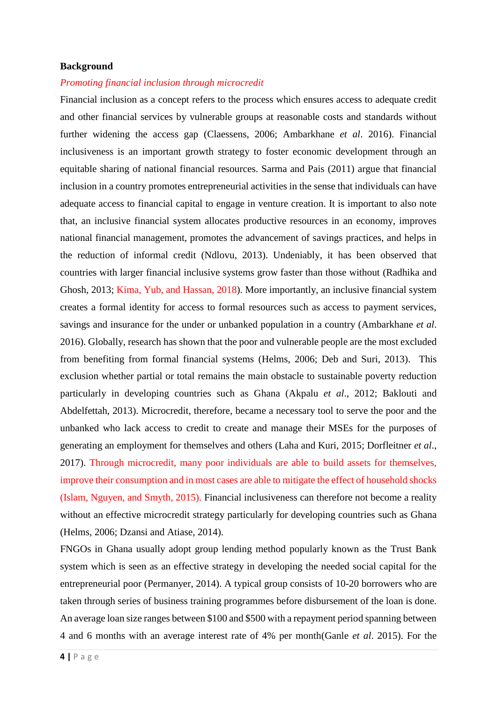#### **Background**

#### *Promoting financial inclusion through microcredit*

Financial inclusion as a concept refers to the process which ensures access to adequate credit and other financial services by vulnerable groups at reasonable costs and standards without further widening the access gap (Claessens, 2006; Ambarkhane *et al*. 2016). Financial inclusiveness is an important growth strategy to foster economic development through an equitable sharing of national financial resources. Sarma and Pais (2011) argue that financial inclusion in a country promotes entrepreneurial activities in the sense that individuals can have adequate access to financial capital to engage in venture creation. It is important to also note that, an inclusive financial system allocates productive resources in an economy, improves national financial management, promotes the advancement of savings practices, and helps in the reduction of informal credit (Ndlovu, 2013). Undeniably, it has been observed that countries with larger financial inclusive systems grow faster than those without (Radhika and Ghosh, 2013; Kima, Yub, and Hassan, 2018). More importantly, an inclusive financial system creates a formal identity for access to formal resources such as access to payment services, savings and insurance for the under or unbanked population in a country (Ambarkhane *et al*. 2016). Globally, research has shown that the poor and vulnerable people are the most excluded from benefiting from formal financial systems (Helms, 2006; Deb and Suri, 2013). This exclusion whether partial or total remains the main obstacle to sustainable poverty reduction particularly in developing countries such as Ghana (Akpalu *et al*., 2012; Baklouti and Abdelfettah, 2013). Microcredit, therefore, became a necessary tool to serve the poor and the unbanked who lack access to credit to create and manage their MSEs for the purposes of generating an employment for themselves and others (Laha and Kuri, 2015; Dorfleitner *et al*., 2017). Through microcredit, many poor individuals are able to build assets for themselves, improve their consumption and in most cases are able to mitigate the effect of household shocks (Islam, Nguyen, and Smyth, 2015). Financial inclusiveness can therefore not become a reality without an effective microcredit strategy particularly for developing countries such as Ghana (Helms, 2006; Dzansi and Atiase, 2014).

FNGOs in Ghana usually adopt group lending method popularly known as the Trust Bank system which is seen as an effective strategy in developing the needed social capital for the entrepreneurial poor (Permanyer, 2014). A typical group consists of 10-20 borrowers who are taken through series of business training programmes before disbursement of the loan is done. An average loan size ranges between \$100 and \$500 with a repayment period spanning between 4 and 6 months with an average interest rate of 4% per month(Ganle *et al*. 2015). For the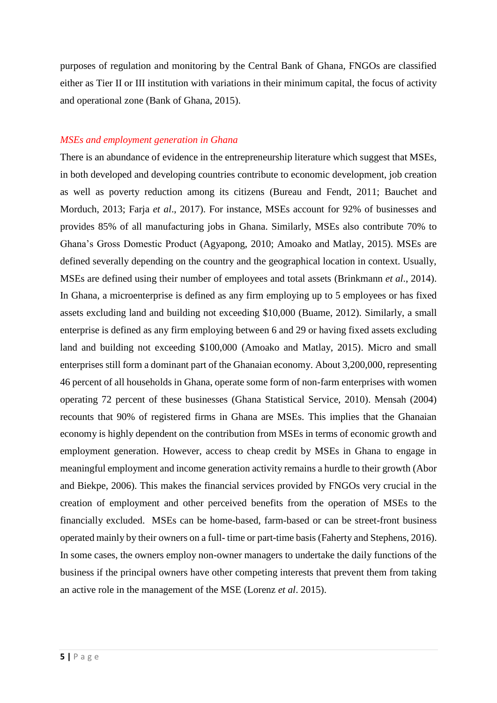purposes of regulation and monitoring by the Central Bank of Ghana, FNGOs are classified either as Tier II or III institution with variations in their minimum capital, the focus of activity and operational zone (Bank of Ghana, 2015).

#### *MSEs and employment generation in Ghana*

There is an abundance of evidence in the entrepreneurship literature which suggest that MSEs, in both developed and developing countries contribute to economic development, job creation as well as poverty reduction among its citizens (Bureau and Fendt, 2011; Bauchet and Morduch, 2013; Farja *et al*., 2017). For instance, MSEs account for 92% of businesses and provides 85% of all manufacturing jobs in Ghana. Similarly, MSEs also contribute 70% to Ghana's Gross Domestic Product (Agyapong, 2010; Amoako and Matlay, 2015). MSEs are defined severally depending on the country and the geographical location in context. Usually, MSEs are defined using their number of employees and total assets (Brinkmann *et al*., 2014). In Ghana, a microenterprise is defined as any firm employing up to 5 employees or has fixed assets excluding land and building not exceeding \$10,000 (Buame, 2012). Similarly, a small enterprise is defined as any firm employing between 6 and 29 or having fixed assets excluding land and building not exceeding \$100,000 (Amoako and Matlay, 2015). Micro and small enterprises still form a dominant part of the Ghanaian economy. About 3,200,000, representing 46 percent of all households in Ghana, operate some form of non-farm enterprises with women operating 72 percent of these businesses (Ghana Statistical Service, 2010). Mensah (2004) recounts that 90% of registered firms in Ghana are MSEs. This implies that the Ghanaian economy is highly dependent on the contribution from MSEs in terms of economic growth and employment generation. However, access to cheap credit by MSEs in Ghana to engage in meaningful employment and income generation activity remains a hurdle to their growth (Abor and Biekpe, 2006). This makes the financial services provided by FNGOs very crucial in the creation of employment and other perceived benefits from the operation of MSEs to the financially excluded. MSEs can be home-based, farm-based or can be street-front business operated mainly by their owners on a full- time or part-time basis (Faherty and Stephens, 2016). In some cases, the owners employ non-owner managers to undertake the daily functions of the business if the principal owners have other competing interests that prevent them from taking an active role in the management of the MSE (Lorenz *et al*. 2015).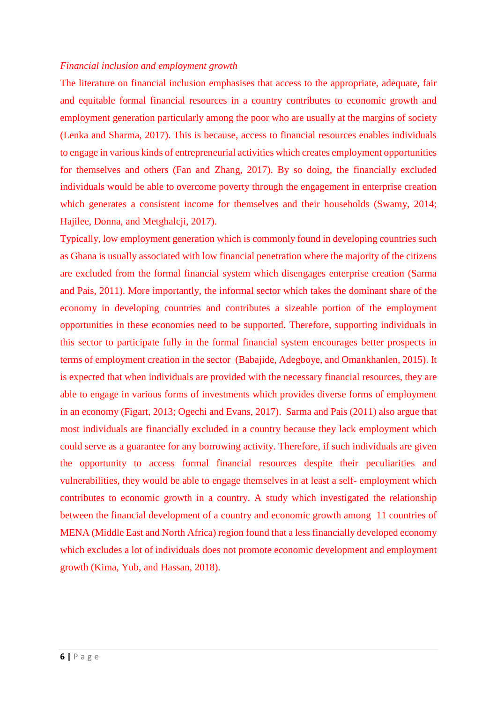#### *Financial inclusion and employment growth*

The literature on financial inclusion emphasises that access to the appropriate, adequate, fair and equitable formal financial resources in a country contributes to economic growth and employment generation particularly among the poor who are usually at the margins of society (Lenka and Sharma, 2017). This is because, access to financial resources enables individuals to engage in various kinds of entrepreneurial activities which creates employment opportunities for themselves and others (Fan and Zhang, 2017). By so doing, the financially excluded individuals would be able to overcome poverty through the engagement in enterprise creation which generates a consistent income for themselves and their households (Swamy, 2014; Hajilee, Donna, and Metghalcji, 2017).

Typically, low employment generation which is commonly found in developing countries such as Ghana is usually associated with low financial penetration where the majority of the citizens are excluded from the formal financial system which disengages enterprise creation (Sarma and Pais, 2011). More importantly, the informal sector which takes the dominant share of the economy in developing countries and contributes a sizeable portion of the employment opportunities in these economies need to be supported. Therefore, supporting individuals in this sector to participate fully in the formal financial system encourages better prospects in terms of employment creation in the sector (Babajide, Adegboye, and Omankhanlen, 2015). It is expected that when individuals are provided with the necessary financial resources, they are able to engage in various forms of investments which provides diverse forms of employment in an economy (Figart, 2013; Ogechi and Evans, 2017). Sarma and Pais (2011) also argue that most individuals are financially excluded in a country because they lack employment which could serve as a guarantee for any borrowing activity. Therefore, if such individuals are given the opportunity to access formal financial resources despite their peculiarities and vulnerabilities, they would be able to engage themselves in at least a self- employment which contributes to economic growth in a country. A study which investigated the relationship between the financial development of a country and economic growth among 11 countries of MENA (Middle East and North Africa) region found that a less financially developed economy which excludes a lot of individuals does not promote economic development and employment growth (Kima, Yub, and Hassan, 2018).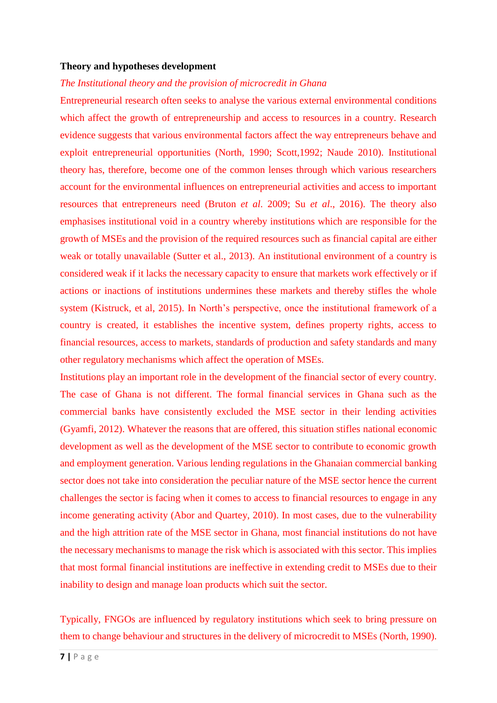#### **Theory and hypotheses development**

#### *The Institutional theory and the provision of microcredit in Ghana*

Entrepreneurial research often seeks to analyse the various external environmental conditions which affect the growth of entrepreneurship and access to resources in a country. Research evidence suggests that various environmental factors affect the way entrepreneurs behave and exploit entrepreneurial opportunities (North, 1990; Scott,1992; Naude 2010). Institutional theory has, therefore, become one of the common lenses through which various researchers account for the environmental influences on entrepreneurial activities and access to important resources that entrepreneurs need (Bruton *et al*. 2009; Su *et al*., 2016). The theory also emphasises institutional void in a country whereby institutions which are responsible for the growth of MSEs and the provision of the required resources such as financial capital are either weak or totally unavailable (Sutter et al., 2013). An institutional environment of a country is considered weak if it lacks the necessary capacity to ensure that markets work effectively or if actions or inactions of institutions undermines these markets and thereby stifles the whole system (Kistruck, et al, 2015). In North's perspective, once the institutional framework of a country is created, it establishes the incentive system, defines property rights, access to financial resources, access to markets, standards of production and safety standards and many other regulatory mechanisms which affect the operation of MSEs.

Institutions play an important role in the development of the financial sector of every country. The case of Ghana is not different. The formal financial services in Ghana such as the commercial banks have consistently excluded the MSE sector in their lending activities (Gyamfi, 2012). Whatever the reasons that are offered, this situation stifles national economic development as well as the development of the MSE sector to contribute to economic growth and employment generation. Various lending regulations in the Ghanaian commercial banking sector does not take into consideration the peculiar nature of the MSE sector hence the current challenges the sector is facing when it comes to access to financial resources to engage in any income generating activity (Abor and Quartey, 2010). In most cases, due to the vulnerability and the high attrition rate of the MSE sector in Ghana, most financial institutions do not have the necessary mechanisms to manage the risk which is associated with this sector. This implies that most formal financial institutions are ineffective in extending credit to MSEs due to their inability to design and manage loan products which suit the sector.

Typically, FNGOs are influenced by regulatory institutions which seek to bring pressure on them to change behaviour and structures in the delivery of microcredit to MSEs (North, 1990).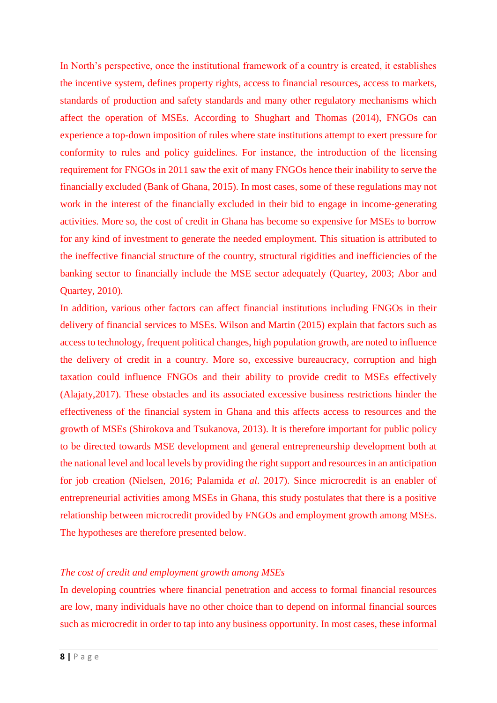In North's perspective, once the institutional framework of a country is created, it establishes the incentive system, defines property rights, access to financial resources, access to markets, standards of production and safety standards and many other regulatory mechanisms which affect the operation of MSEs. According to Shughart and Thomas (2014), FNGOs can experience a top-down imposition of rules where state institutions attempt to exert pressure for conformity to rules and policy guidelines. For instance, the introduction of the licensing requirement for FNGOs in 2011 saw the exit of many FNGOs hence their inability to serve the financially excluded (Bank of Ghana, 2015). In most cases, some of these regulations may not work in the interest of the financially excluded in their bid to engage in income-generating activities. More so, the cost of credit in Ghana has become so expensive for MSEs to borrow for any kind of investment to generate the needed employment. This situation is attributed to the ineffective financial structure of the country, structural rigidities and inefficiencies of the banking sector to financially include the MSE sector adequately (Quartey, 2003; Abor and Quartey, 2010).

In addition, various other factors can affect financial institutions including FNGOs in their delivery of financial services to MSEs. Wilson and Martin (2015) explain that factors such as access to technology, frequent political changes, high population growth, are noted to influence the delivery of credit in a country. More so, excessive bureaucracy, corruption and high taxation could influence FNGOs and their ability to provide credit to MSEs effectively (Alajaty,2017). These obstacles and its associated excessive business restrictions hinder the effectiveness of the financial system in Ghana and this affects access to resources and the growth of MSEs (Shirokova and Tsukanova, 2013). It is therefore important for public policy to be directed towards MSE development and general entrepreneurship development both at the national level and local levels by providing the right support and resources in an anticipation for job creation (Nielsen, 2016; Palamida *et al*. 2017). Since microcredit is an enabler of entrepreneurial activities among MSEs in Ghana, this study postulates that there is a positive relationship between microcredit provided by FNGOs and employment growth among MSEs. The hypotheses are therefore presented below.

#### *The cost of credit and employment growth among MSEs*

In developing countries where financial penetration and access to formal financial resources are low, many individuals have no other choice than to depend on informal financial sources such as microcredit in order to tap into any business opportunity. In most cases, these informal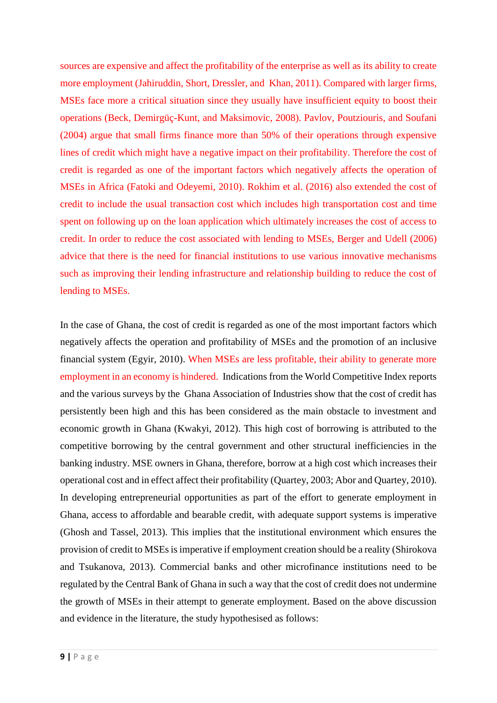sources are expensive and affect the profitability of the enterprise as well as its ability to create more employment (Jahiruddin, Short, Dressler, and Khan, 2011). Compared with larger firms, MSEs face more a critical situation since they usually have insufficient equity to boost their operations (Beck, Demirgüç-Kunt, and Maksimovic, 2008). Pavlov, Poutziouris, and Soufani (2004) argue that small firms finance more than 50% of their operations through expensive lines of credit which might have a negative impact on their profitability. Therefore the cost of credit is regarded as one of the important factors which negatively affects the operation of MSEs in Africa (Fatoki and Odeyemi, 2010). Rokhim et al. (2016) also extended the cost of credit to include the usual transaction cost which includes high transportation cost and time spent on following up on the loan application which ultimately increases the cost of access to credit. In order to reduce the cost associated with lending to MSEs, Berger and Udell (2006) advice that there is the need for financial institutions to use various innovative mechanisms such as improving their lending infrastructure and relationship building to reduce the cost of lending to MSEs.

In the case of Ghana, the cost of credit is regarded as one of the most important factors which negatively affects the operation and profitability of MSEs and the promotion of an inclusive financial system (Egyir, 2010). When MSEs are less profitable, their ability to generate more employment in an economy is hindered. Indications from the World Competitive Index reports and the various surveys by the Ghana Association of Industries show that the cost of credit has persistently been high and this has been considered as the main obstacle to investment and economic growth in Ghana (Kwakyi, 2012). This high cost of borrowing is attributed to the competitive borrowing by the central government and other structural inefficiencies in the banking industry. MSE owners in Ghana, therefore, borrow at a high cost which increases their operational cost and in effect affect their profitability (Quartey, 2003; Abor and Quartey, 2010). In developing entrepreneurial opportunities as part of the effort to generate employment in Ghana, access to affordable and bearable credit, with adequate support systems is imperative (Ghosh and Tassel, 2013). This implies that the institutional environment which ensures the provision of credit to MSEs is imperative if employment creation should be a reality (Shirokova and Tsukanova, 2013). Commercial banks and other microfinance institutions need to be regulated by the Central Bank of Ghana in such a way that the cost of credit does not undermine the growth of MSEs in their attempt to generate employment. Based on the above discussion and evidence in the literature, the study hypothesised as follows: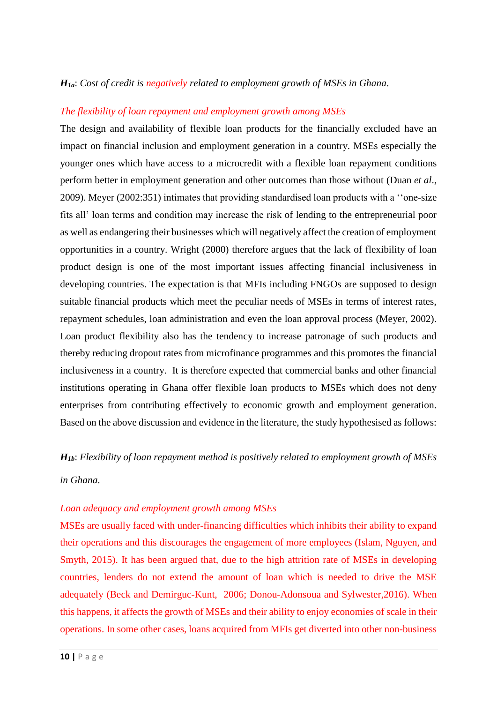#### *H1a*: *Cost of credit is negatively related to employment growth of MSEs in Ghana*.

#### *The flexibility of loan repayment and employment growth among MSEs*

The design and availability of flexible loan products for the financially excluded have an impact on financial inclusion and employment generation in a country. MSEs especially the younger ones which have access to a microcredit with a flexible loan repayment conditions perform better in employment generation and other outcomes than those without (Duan *et al*., 2009). Meyer (2002:351) intimates that providing standardised loan products with a ''one-size fits all' loan terms and condition may increase the risk of lending to the entrepreneurial poor as well as endangering their businesses which will negatively affect the creation of employment opportunities in a country. Wright (2000) therefore argues that the lack of flexibility of loan product design is one of the most important issues affecting financial inclusiveness in developing countries. The expectation is that MFIs including FNGOs are supposed to design suitable financial products which meet the peculiar needs of MSEs in terms of interest rates, repayment schedules, loan administration and even the loan approval process (Meyer, 2002). Loan product flexibility also has the tendency to increase patronage of such products and thereby reducing dropout rates from microfinance programmes and this promotes the financial inclusiveness in a country. It is therefore expected that commercial banks and other financial institutions operating in Ghana offer flexible loan products to MSEs which does not deny enterprises from contributing effectively to economic growth and employment generation. Based on the above discussion and evidence in the literature, the study hypothesised as follows:

#### *H1b*: *Flexibility of loan repayment method is positively related to employment growth of MSEs*

#### *in Ghana*.

#### *Loan adequacy and employment growth among MSEs*

MSEs are usually faced with under-financing difficulties which inhibits their ability to expand their operations and this discourages the engagement of more employees (Islam, Nguyen, and Smyth, 2015). It has been argued that, due to the high attrition rate of MSEs in developing countries, lenders do not extend the amount of loan which is needed to drive the MSE adequately (Beck and Demirguc-Kunt, 2006; Donou-Adonsoua and Sylwester,2016). When this happens, it affects the growth of MSEs and their ability to enjoy economies of scale in their operations. In some other cases, loans acquired from MFIs get diverted into other non-business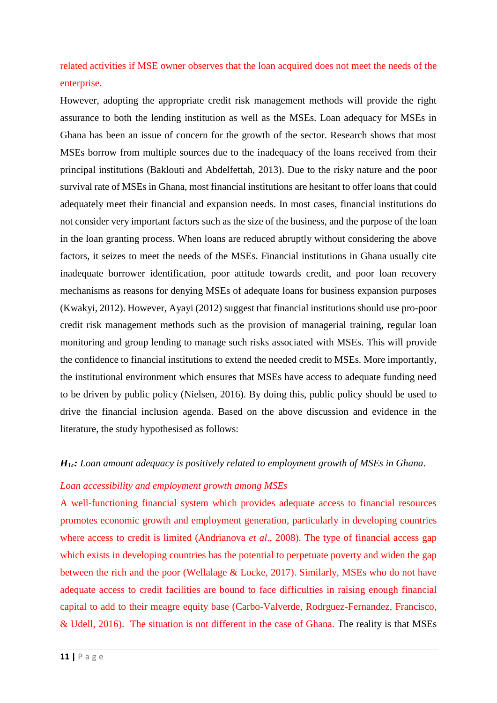related activities if MSE owner observes that the loan acquired does not meet the needs of the enterprise.

However, adopting the appropriate credit risk management methods will provide the right assurance to both the lending institution as well as the MSEs. Loan adequacy for MSEs in Ghana has been an issue of concern for the growth of the sector. Research shows that most MSEs borrow from multiple sources due to the inadequacy of the loans received from their principal institutions (Baklouti and Abdelfettah, 2013). Due to the risky nature and the poor survival rate of MSEs in Ghana, most financial institutions are hesitant to offer loans that could adequately meet their financial and expansion needs. In most cases, financial institutions do not consider very important factors such as the size of the business, and the purpose of the loan in the loan granting process. When loans are reduced abruptly without considering the above factors, it seizes to meet the needs of the MSEs. Financial institutions in Ghana usually cite inadequate borrower identification, poor attitude towards credit, and poor loan recovery mechanisms as reasons for denying MSEs of adequate loans for business expansion purposes (Kwakyi, 2012). However, Ayayi (2012) suggest that financial institutions should use pro-poor credit risk management methods such as the provision of managerial training, regular loan monitoring and group lending to manage such risks associated with MSEs. This will provide the confidence to financial institutions to extend the needed credit to MSEs. More importantly, the institutional environment which ensures that MSEs have access to adequate funding need to be driven by public policy (Nielsen, 2016). By doing this, public policy should be used to drive the financial inclusion agenda. Based on the above discussion and evidence in the literature, the study hypothesised as follows:

#### *H1c: Loan amount adequacy is positively related to employment growth of MSEs in Ghana*.

#### *Loan accessibility and employment growth among MSEs*

A well-functioning financial system which provides adequate access to financial resources promotes economic growth and employment generation, particularly in developing countries where access to credit is limited (Andrianova *et al*., 2008). The type of financial access gap which exists in developing countries has the potential to perpetuate poverty and widen the gap between the rich and the poor (Wellalage & Locke, 2017). Similarly, MSEs who do not have adequate access to credit facilities are bound to face difficulties in raising enough financial capital to add to their meagre equity base (Carbo-Valverde, Rodrguez-Fernandez, Francisco, & Udell, 2016). The situation is not different in the case of Ghana. The reality is that MSEs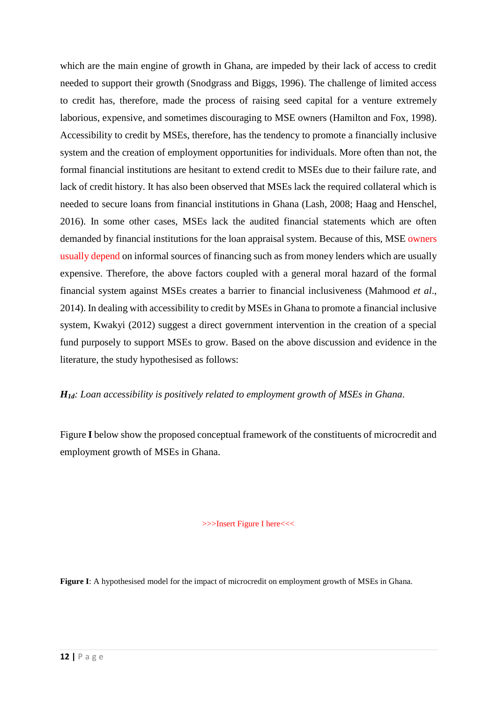which are the main engine of growth in Ghana, are impeded by their lack of access to credit needed to support their growth (Snodgrass and Biggs, 1996). The challenge of limited access to credit has, therefore, made the process of raising seed capital for a venture extremely laborious, expensive, and sometimes discouraging to MSE owners (Hamilton and Fox, 1998). Accessibility to credit by MSEs, therefore, has the tendency to promote a financially inclusive system and the creation of employment opportunities for individuals. More often than not, the formal financial institutions are hesitant to extend credit to MSEs due to their failure rate, and lack of credit history. It has also been observed that MSEs lack the required collateral which is needed to secure loans from financial institutions in Ghana (Lash, 2008; Haag and Henschel, 2016). In some other cases, MSEs lack the audited financial statements which are often demanded by financial institutions for the loan appraisal system. Because of this, MSE owners usually depend on informal sources of financing such as from money lenders which are usually expensive. Therefore, the above factors coupled with a general moral hazard of the formal financial system against MSEs creates a barrier to financial inclusiveness (Mahmood *et al*., 2014). In dealing with accessibility to credit by MSEs in Ghana to promote a financial inclusive system, Kwakyi (2012) suggest a direct government intervention in the creation of a special fund purposely to support MSEs to grow. Based on the above discussion and evidence in the literature, the study hypothesised as follows:

*H1d: Loan accessibility is positively related to employment growth of MSEs in Ghana*.

Figure **I** below show the proposed conceptual framework of the constituents of microcredit and employment growth of MSEs in Ghana.

>>>Insert Figure I here<<<

**Figure I**: A hypothesised model for the impact of microcredit on employment growth of MSEs in Ghana.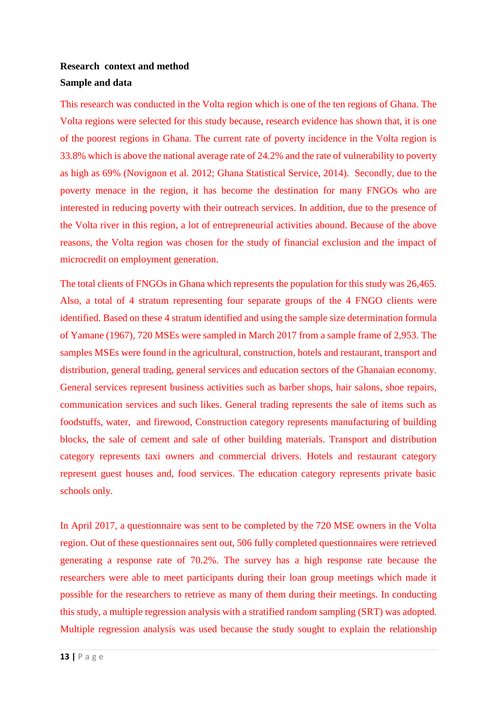# **Research context and method Sample and data**

This research was conducted in the Volta region which is one of the ten regions of Ghana. The Volta regions were selected for this study because, research evidence has shown that, it is one of the poorest regions in Ghana. The current rate of poverty incidence in the Volta region is 33.8% which is above the national average rate of 24.2% and the rate of vulnerability to poverty as high as 69% (Novignon et al. 2012; Ghana Statistical Service, 2014). Secondly, due to the poverty menace in the region, it has become the destination for many FNGOs who are interested in reducing poverty with their outreach services. In addition, due to the presence of the Volta river in this region, a lot of entrepreneurial activities abound. Because of the above reasons, the Volta region was chosen for the study of financial exclusion and the impact of microcredit on employment generation.

The total clients of FNGOs in Ghana which represents the population for this study was 26,465. Also, a total of 4 stratum representing four separate groups of the 4 FNGO clients were identified. Based on these 4 stratum identified and using the sample size determination formula of Yamane (1967), 720 MSEs were sampled in March 2017 from a sample frame of 2,953. The samples MSEs were found in the agricultural, construction, hotels and restaurant, transport and distribution, general trading, general services and education sectors of the Ghanaian economy. General services represent business activities such as barber shops, hair salons, shoe repairs, communication services and such likes. General trading represents the sale of items such as foodstuffs, water, and firewood, Construction category represents manufacturing of building blocks, the sale of cement and sale of other building materials. Transport and distribution category represents taxi owners and commercial drivers. Hotels and restaurant category represent guest houses and, food services. The education category represents private basic schools only.

In April 2017, a questionnaire was sent to be completed by the 720 MSE owners in the Volta region. Out of these questionnaires sent out, 506 fully completed questionnaires were retrieved generating a response rate of 70.2%. The survey has a high response rate because the researchers were able to meet participants during their loan group meetings which made it possible for the researchers to retrieve as many of them during their meetings. In conducting this study, a multiple regression analysis with a stratified random sampling (SRT) was adopted. Multiple regression analysis was used because the study sought to explain the relationship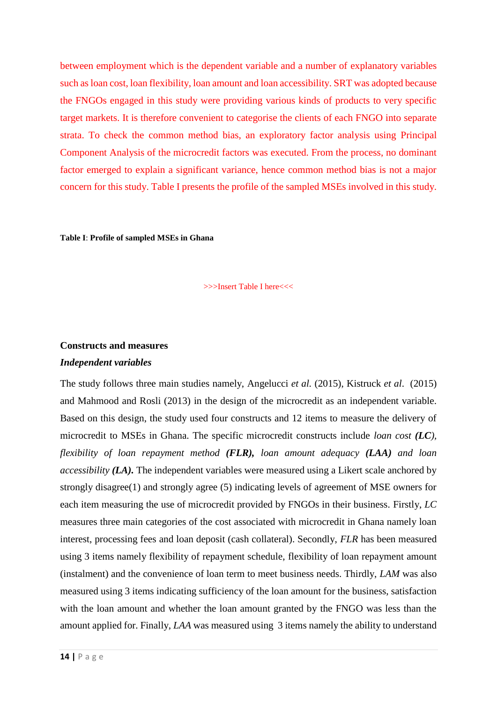between employment which is the dependent variable and a number of explanatory variables such as loan cost, loan flexibility, loan amount and loan accessibility. SRT was adopted because the FNGOs engaged in this study were providing various kinds of products to very specific target markets. It is therefore convenient to categorise the clients of each FNGO into separate strata. To check the common method bias, an exploratory factor analysis using Principal Component Analysis of the microcredit factors was executed. From the process, no dominant factor emerged to explain a significant variance, hence common method bias is not a major concern for this study. Table I presents the profile of the sampled MSEs involved in this study.

**Table I**: **Profile of sampled MSEs in Ghana**

>>>Insert Table I here<<<

## **Constructs and measures** *Independent variables*

The study follows three main studies namely, Angelucci *et al.* (2015), Kistruck *et al*. (2015) and Mahmood and Rosli (2013) in the design of the microcredit as an independent variable. Based on this design, the study used four constructs and 12 items to measure the delivery of microcredit to MSEs in Ghana. The specific microcredit constructs include *loan cost (LC), flexibility of loan repayment method (FLR), loan amount adequacy (LAA) and loan accessibility (LA).* The independent variables were measured using a Likert scale anchored by strongly disagree(1) and strongly agree (5) indicating levels of agreement of MSE owners for each item measuring the use of microcredit provided by FNGOs in their business. Firstly, *LC*  measures three main categories of the cost associated with microcredit in Ghana namely loan interest, processing fees and loan deposit (cash collateral). Secondly, *FLR* has been measured using 3 items namely flexibility of repayment schedule, flexibility of loan repayment amount (instalment) and the convenience of loan term to meet business needs. Thirdly, *LAM* was also measured using 3 items indicating sufficiency of the loan amount for the business, satisfaction with the loan amount and whether the loan amount granted by the FNGO was less than the amount applied for. Finally, *LAA* was measured using 3 items namely the ability to understand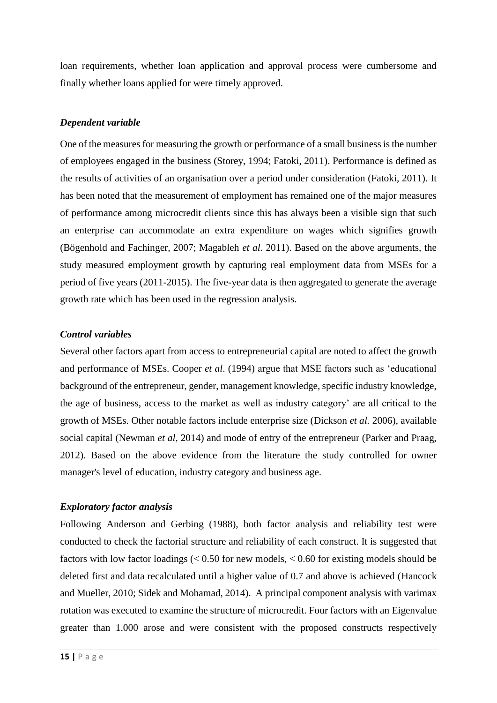loan requirements, whether loan application and approval process were cumbersome and finally whether loans applied for were timely approved.

#### *Dependent variable*

One of the measures for measuring the growth or performance of a small business is the number of employees engaged in the business (Storey, 1994; Fatoki, 2011). Performance is defined as the results of activities of an organisation over a period under consideration (Fatoki, 2011). It has been noted that the measurement of employment has remained one of the major measures of performance among microcredit clients since this has always been a visible sign that such an enterprise can accommodate an extra expenditure on wages which signifies growth (Bögenhold and Fachinger, 2007; Magableh *et al*. 2011). Based on the above arguments, the study measured employment growth by capturing real employment data from MSEs for a period of five years (2011-2015). The five-year data is then aggregated to generate the average growth rate which has been used in the regression analysis.

#### *Control variables*

Several other factors apart from access to entrepreneurial capital are noted to affect the growth and performance of MSEs. Cooper *et al*. (1994) argue that MSE factors such as 'educational background of the entrepreneur, gender, management knowledge, specific industry knowledge, the age of business, access to the market as well as industry category' are all critical to the growth of MSEs. Other notable factors include enterprise size (Dickson *et al.* 2006), available social capital (Newman *et al,* 2014) and mode of entry of the entrepreneur (Parker and Praag, 2012). Based on the above evidence from the literature the study controlled for owner manager's level of education, industry category and business age.

#### *Exploratory factor analysis*

Following Anderson and Gerbing (1988), both factor analysis and reliability test were conducted to check the factorial structure and reliability of each construct. It is suggested that factors with low factor loadings (< 0.50 for new models, < 0.60 for existing models should be deleted first and data recalculated until a higher value of 0.7 and above is achieved (Hancock and Mueller, 2010; Sidek and Mohamad, 2014). A principal component analysis with varimax rotation was executed to examine the structure of microcredit. Four factors with an Eigenvalue greater than 1.000 arose and were consistent with the proposed constructs respectively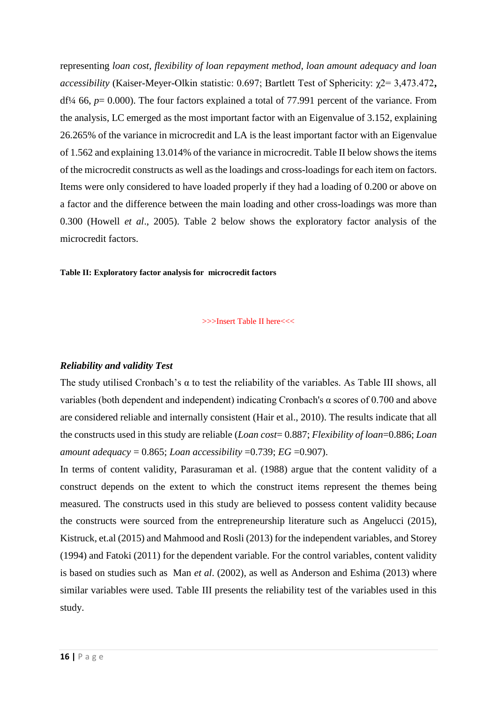representing *loan cost, flexibility of loan repayment method, loan amount adequacy and loan accessibility* (Kaiser-Meyer-Olkin statistic: 0.697; Bartlett Test of Sphericity: χ2= 3,473.472**,** df¼ 66, *p*= 0.000). The four factors explained a total of 77.991 percent of the variance. From the analysis, LC emerged as the most important factor with an Eigenvalue of 3.152, explaining 26.265% of the variance in microcredit and LA is the least important factor with an Eigenvalue of 1.562 and explaining 13.014% of the variance in microcredit. Table II below shows the items of the microcredit constructs as well as the loadings and cross-loadings for each item on factors. Items were only considered to have loaded properly if they had a loading of 0.200 or above on a factor and the difference between the main loading and other cross-loadings was more than 0.300 (Howell *et al*., 2005). Table 2 below shows the exploratory factor analysis of the microcredit factors.

#### **Table II: Exploratory factor analysis for microcredit factors**

>>>Insert Table II here<<<

#### *Reliability and validity Test*

The study utilised Cronbach's  $\alpha$  to test the reliability of the variables. As Table III shows, all variables (both dependent and independent) indicating Cronbach's α scores of 0.700 and above are considered reliable and internally consistent (Hair et al., 2010). The results indicate that all the constructs used in this study are reliable (*Loan cost*= 0.887; *Flexibility of loan*=0.886; *Loan amount adequacy* = 0.865; *Loan accessibility* =0.739; *EG* =0.907).

In terms of content validity, Parasuraman et al. (1988) argue that the content validity of a construct depends on the extent to which the construct items represent the themes being measured. The constructs used in this study are believed to possess content validity because the constructs were sourced from the entrepreneurship literature such as Angelucci (2015), Kistruck, et.al (2015) and Mahmood and Rosli (2013) for the independent variables, and Storey (1994) and Fatoki (2011) for the dependent variable. For the control variables, content validity is based on studies such as Man *et al*. (2002), as well as Anderson and Eshima (2013) where similar variables were used. Table III presents the reliability test of the variables used in this study.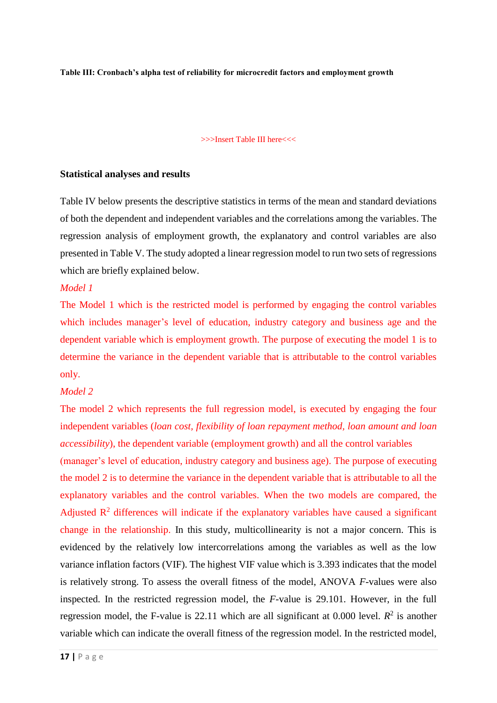**Table III: Cronbach's alpha test of reliability for microcredit factors and employment growth**

#### >>>Insert Table III here<<<

#### **Statistical analyses and results**

Table IV below presents the descriptive statistics in terms of the mean and standard deviations of both the dependent and independent variables and the correlations among the variables. The regression analysis of employment growth, the explanatory and control variables are also presented in Table V. The study adopted a linear regression model to run two sets of regressions which are briefly explained below.

#### *Model 1*

The Model 1 which is the restricted model is performed by engaging the control variables which includes manager's level of education, industry category and business age and the dependent variable which is employment growth. The purpose of executing the model 1 is to determine the variance in the dependent variable that is attributable to the control variables only.

#### *Model 2*

The model 2 which represents the full regression model, is executed by engaging the four independent variables (*loan cost, flexibility of loan repayment method, loan amount and loan accessibility*), the dependent variable (employment growth) and all the control variables (manager's level of education, industry category and business age). The purpose of executing the model 2 is to determine the variance in the dependent variable that is attributable to all the explanatory variables and the control variables. When the two models are compared, the Adjusted  $\mathbb{R}^2$  differences will indicate if the explanatory variables have caused a significant change in the relationship. In this study, multicollinearity is not a major concern. This is evidenced by the relatively low intercorrelations among the variables as well as the low variance inflation factors (VIF). The highest VIF value which is 3.393 indicates that the model is relatively strong. To assess the overall fitness of the model, ANOVA *F*-values were also inspected. In the restricted regression model, the *F*-value is 29.101. However, in the full regression model, the F-value is 22.11 which are all significant at  $0.000$  level.  $R^2$  is another variable which can indicate the overall fitness of the regression model. In the restricted model,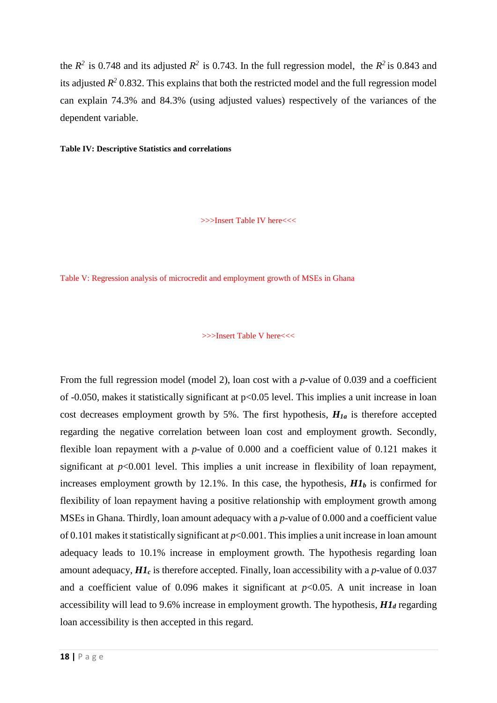the  $R^2$  is 0.748 and its adjusted  $R^2$  is 0.743. In the full regression model, the  $R^2$  is 0.843 and its adjusted  $R^2$  0.832. This explains that both the restricted model and the full regression model can explain 74.3% and 84.3% (using adjusted values) respectively of the variances of the dependent variable.

#### **Table IV: Descriptive Statistics and correlations**

>>>Insert Table IV here<<<

Table V: Regression analysis of microcredit and employment growth of MSEs in Ghana

#### >>>Insert Table V here<<<

From the full regression model (model 2), loan cost with a *p*-value of 0.039 and a coefficient of -0.050, makes it statistically significant at p<0.05 level. This implies a unit increase in loan cost decreases employment growth by 5%. The first hypothesis, *H1a* is therefore accepted regarding the negative correlation between loan cost and employment growth. Secondly, flexible loan repayment with a *p*-value of 0.000 and a coefficient value of 0.121 makes it significant at *p*<0.001 level. This implies a unit increase in flexibility of loan repayment, increases employment growth by 12.1%. In this case, the hypothesis,  $H1<sub>b</sub>$  is confirmed for flexibility of loan repayment having a positive relationship with employment growth among MSEs in Ghana. Thirdly, loan amount adequacy with a *p*-value of 0.000 and a coefficient value of 0.101 makes it statistically significant at *p*<0.001. Thisimplies a unit increase in loan amount adequacy leads to 10.1% increase in employment growth. The hypothesis regarding loan amount adequacy, *H1<sup>c</sup>* is therefore accepted. Finally, loan accessibility with a *p*-value of 0.037 and a coefficient value of 0.096 makes it significant at  $p<0.05$ . A unit increase in loan accessibility will lead to 9.6% increase in employment growth. The hypothesis, *H1<sup>d</sup>* regarding loan accessibility is then accepted in this regard.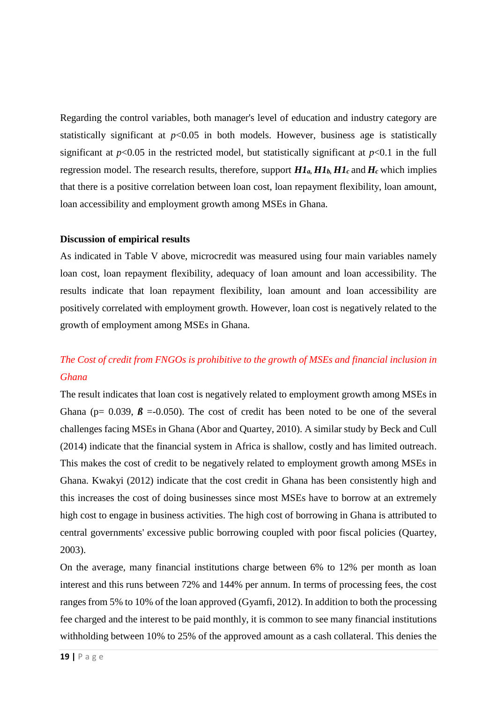Regarding the control variables, both manager's level of education and industry category are statistically significant at  $p<0.05$  in both models. However, business age is statistically significant at  $p<0.05$  in the restricted model, but statistically significant at  $p<0.1$  in the full regression model. The research results, therefore, support  $H1_a, H1_b, H1_c$  and  $H_c$  which implies that there is a positive correlation between loan cost, loan repayment flexibility, loan amount, loan accessibility and employment growth among MSEs in Ghana.

#### **Discussion of empirical results**

As indicated in Table V above, microcredit was measured using four main variables namely loan cost, loan repayment flexibility, adequacy of loan amount and loan accessibility. The results indicate that loan repayment flexibility, loan amount and loan accessibility are positively correlated with employment growth. However, loan cost is negatively related to the growth of employment among MSEs in Ghana.

# *The Cost of credit from FNGOs is prohibitive to the growth of MSEs and financial inclusion in Ghana*

The result indicates that loan cost is negatively related to employment growth among MSEs in Ghana ( $p= 0.039$ ,  $\beta = -0.050$ ). The cost of credit has been noted to be one of the several challenges facing MSEs in Ghana (Abor and Quartey, 2010). A similar study by Beck and Cull (2014) indicate that the financial system in Africa is shallow, costly and has limited outreach. This makes the cost of credit to be negatively related to employment growth among MSEs in Ghana. Kwakyi (2012) indicate that the cost credit in Ghana has been consistently high and this increases the cost of doing businesses since most MSEs have to borrow at an extremely high cost to engage in business activities. The high cost of borrowing in Ghana is attributed to central governments' excessive public borrowing coupled with poor fiscal policies (Quartey, 2003).

On the average, many financial institutions charge between 6% to 12% per month as loan interest and this runs between 72% and 144% per annum. In terms of processing fees, the cost ranges from 5% to 10% of the loan approved (Gyamfi, 2012). In addition to both the processing fee charged and the interest to be paid monthly, it is common to see many financial institutions withholding between 10% to 25% of the approved amount as a cash collateral. This denies the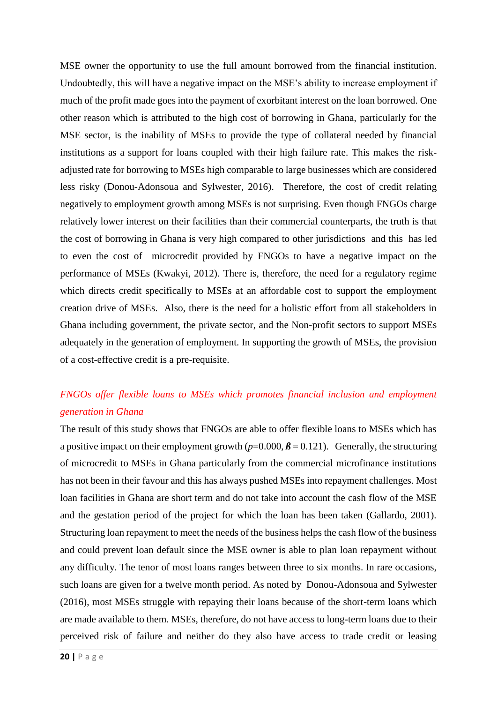MSE owner the opportunity to use the full amount borrowed from the financial institution. Undoubtedly, this will have a negative impact on the MSE's ability to increase employment if much of the profit made goes into the payment of exorbitant interest on the loan borrowed. One other reason which is attributed to the high cost of borrowing in Ghana, particularly for the MSE sector, is the inability of MSEs to provide the type of collateral needed by financial institutions as a support for loans coupled with their high failure rate. This makes the riskadjusted rate for borrowing to MSEs high comparable to large businesses which are considered less risky (Donou-Adonsoua and Sylwester, 2016). Therefore, the cost of credit relating negatively to employment growth among MSEs is not surprising. Even though FNGOs charge relatively lower interest on their facilities than their commercial counterparts, the truth is that the cost of borrowing in Ghana is very high compared to other jurisdictions and this has led to even the cost of microcredit provided by FNGOs to have a negative impact on the performance of MSEs (Kwakyi, 2012). There is, therefore, the need for a regulatory regime which directs credit specifically to MSEs at an affordable cost to support the employment creation drive of MSEs. Also, there is the need for a holistic effort from all stakeholders in Ghana including government, the private sector, and the Non-profit sectors to support MSEs adequately in the generation of employment. In supporting the growth of MSEs, the provision of a cost-effective credit is a pre-requisite.

# *FNGOs offer flexible loans to MSEs which promotes financial inclusion and employment generation in Ghana*

The result of this study shows that FNGOs are able to offer flexible loans to MSEs which has a positive impact on their employment growth  $(p=0.000, \beta=0.121)$ . Generally, the structuring of microcredit to MSEs in Ghana particularly from the commercial microfinance institutions has not been in their favour and this has always pushed MSEs into repayment challenges. Most loan facilities in Ghana are short term and do not take into account the cash flow of the MSE and the gestation period of the project for which the loan has been taken (Gallardo, 2001). Structuring loan repayment to meet the needs of the business helps the cash flow of the business and could prevent loan default since the MSE owner is able to plan loan repayment without any difficulty. The tenor of most loans ranges between three to six months. In rare occasions, such loans are given for a twelve month period. As noted by Donou-Adonsoua and Sylwester (2016), most MSEs struggle with repaying their loans because of the short-term loans which are made available to them. MSEs, therefore, do not have access to long-term loans due to their perceived risk of failure and neither do they also have access to trade credit or leasing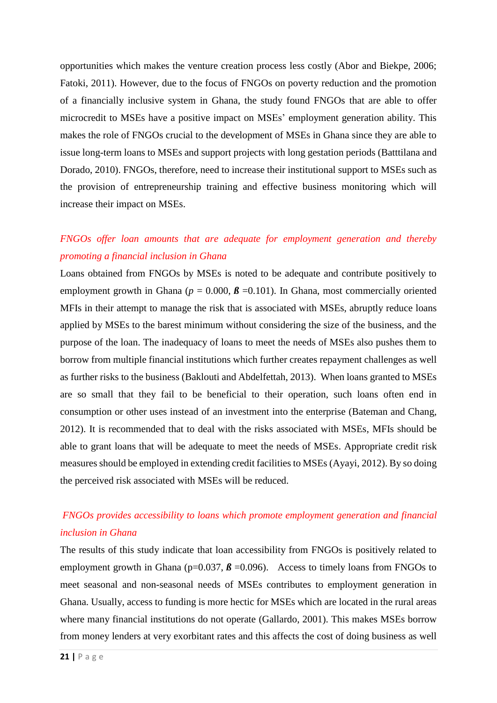opportunities which makes the venture creation process less costly (Abor and Biekpe, 2006; Fatoki, 2011). However, due to the focus of FNGOs on poverty reduction and the promotion of a financially inclusive system in Ghana, the study found FNGOs that are able to offer microcredit to MSEs have a positive impact on MSEs' employment generation ability. This makes the role of FNGOs crucial to the development of MSEs in Ghana since they are able to issue long-term loans to MSEs and support projects with long gestation periods (Batttilana and Dorado, 2010). FNGOs, therefore, need to increase their institutional support to MSEs such as the provision of entrepreneurship training and effective business monitoring which will increase their impact on MSEs.

# *FNGOs offer loan amounts that are adequate for employment generation and thereby promoting a financial inclusion in Ghana*

Loans obtained from FNGOs by MSEs is noted to be adequate and contribute positively to employment growth in Ghana ( $p = 0.000$ ,  $\beta = 0.101$ ). In Ghana, most commercially oriented MFIs in their attempt to manage the risk that is associated with MSEs, abruptly reduce loans applied by MSEs to the barest minimum without considering the size of the business, and the purpose of the loan. The inadequacy of loans to meet the needs of MSEs also pushes them to borrow from multiple financial institutions which further creates repayment challenges as well as further risks to the business (Baklouti and Abdelfettah, 2013). When loans granted to MSEs are so small that they fail to be beneficial to their operation, such loans often end in consumption or other uses instead of an investment into the enterprise (Bateman and Chang, 2012). It is recommended that to deal with the risks associated with MSEs, MFIs should be able to grant loans that will be adequate to meet the needs of MSEs. Appropriate credit risk measures should be employed in extending credit facilities to MSEs (Ayayi, 2012). By so doing the perceived risk associated with MSEs will be reduced.

# *FNGOs provides accessibility to loans which promote employment generation and financial inclusion in Ghana*

The results of this study indicate that loan accessibility from FNGOs is positively related to employment growth in Ghana ( $p=0.037$ ,  $\beta=0.096$ ). Access to timely loans from FNGOs to meet seasonal and non-seasonal needs of MSEs contributes to employment generation in Ghana. Usually, access to funding is more hectic for MSEs which are located in the rural areas where many financial institutions do not operate (Gallardo, 2001). This makes MSEs borrow from money lenders at very exorbitant rates and this affects the cost of doing business as well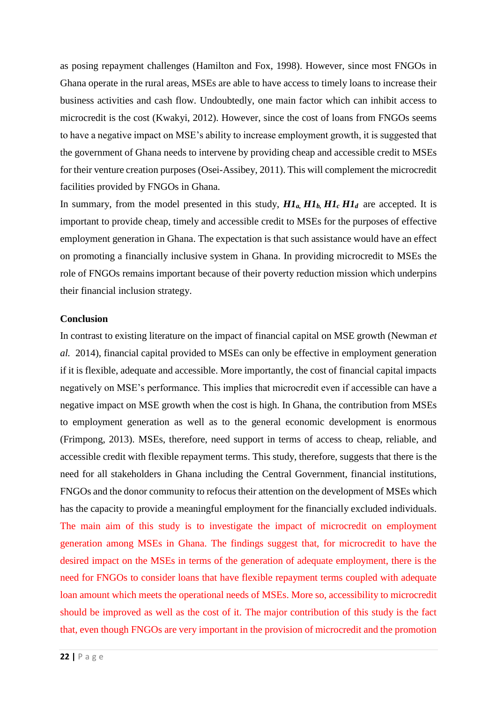as posing repayment challenges (Hamilton and Fox, 1998). However, since most FNGOs in Ghana operate in the rural areas, MSEs are able to have access to timely loans to increase their business activities and cash flow. Undoubtedly, one main factor which can inhibit access to microcredit is the cost (Kwakyi, 2012). However, since the cost of loans from FNGOs seems to have a negative impact on MSE's ability to increase employment growth, it is suggested that the government of Ghana needs to intervene by providing cheap and accessible credit to MSEs for their venture creation purposes (Osei-Assibey, 2011). This will complement the microcredit facilities provided by FNGOs in Ghana.

In summary, from the model presented in this study,  $H1_a, H1_b, H1_c, H1_d$  are accepted. It is important to provide cheap, timely and accessible credit to MSEs for the purposes of effective employment generation in Ghana. The expectation is that such assistance would have an effect on promoting a financially inclusive system in Ghana. In providing microcredit to MSEs the role of FNGOs remains important because of their poverty reduction mission which underpins their financial inclusion strategy.

#### **Conclusion**

In contrast to existing literature on the impact of financial capital on MSE growth (Newman *et al.* 2014), financial capital provided to MSEs can only be effective in employment generation if it is flexible, adequate and accessible. More importantly, the cost of financial capital impacts negatively on MSE's performance. This implies that microcredit even if accessible can have a negative impact on MSE growth when the cost is high. In Ghana, the contribution from MSEs to employment generation as well as to the general economic development is enormous (Frimpong, 2013). MSEs, therefore, need support in terms of access to cheap, reliable, and accessible credit with flexible repayment terms. This study, therefore, suggests that there is the need for all stakeholders in Ghana including the Central Government, financial institutions, FNGOs and the donor community to refocus their attention on the development of MSEs which has the capacity to provide a meaningful employment for the financially excluded individuals. The main aim of this study is to investigate the impact of microcredit on employment generation among MSEs in Ghana. The findings suggest that, for microcredit to have the desired impact on the MSEs in terms of the generation of adequate employment, there is the need for FNGOs to consider loans that have flexible repayment terms coupled with adequate loan amount which meets the operational needs of MSEs. More so, accessibility to microcredit should be improved as well as the cost of it. The major contribution of this study is the fact that, even though FNGOs are very important in the provision of microcredit and the promotion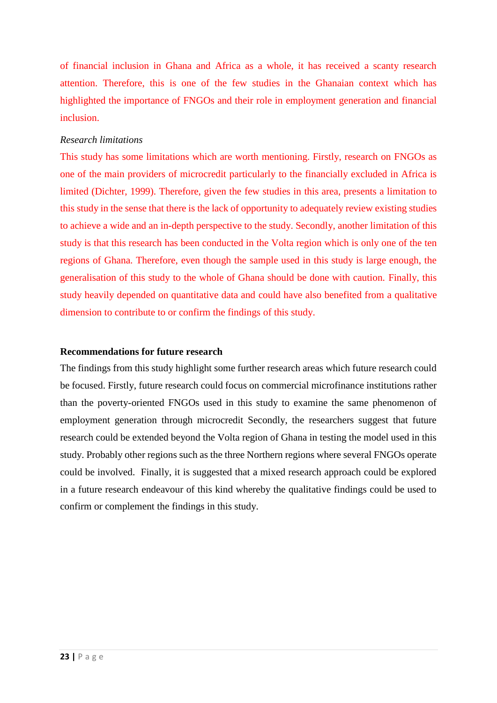of financial inclusion in Ghana and Africa as a whole, it has received a scanty research attention. Therefore, this is one of the few studies in the Ghanaian context which has highlighted the importance of FNGOs and their role in employment generation and financial inclusion.

#### *Research limitations*

This study has some limitations which are worth mentioning. Firstly, research on FNGOs as one of the main providers of microcredit particularly to the financially excluded in Africa is limited (Dichter, 1999). Therefore, given the few studies in this area, presents a limitation to this study in the sense that there is the lack of opportunity to adequately review existing studies to achieve a wide and an in-depth perspective to the study. Secondly, another limitation of this study is that this research has been conducted in the Volta region which is only one of the ten regions of Ghana. Therefore, even though the sample used in this study is large enough, the generalisation of this study to the whole of Ghana should be done with caution. Finally, this study heavily depended on quantitative data and could have also benefited from a qualitative dimension to contribute to or confirm the findings of this study.

#### **Recommendations for future research**

The findings from this study highlight some further research areas which future research could be focused. Firstly, future research could focus on commercial microfinance institutions rather than the poverty-oriented FNGOs used in this study to examine the same phenomenon of employment generation through microcredit Secondly, the researchers suggest that future research could be extended beyond the Volta region of Ghana in testing the model used in this study. Probably other regions such as the three Northern regions where several FNGOs operate could be involved. Finally, it is suggested that a mixed research approach could be explored in a future research endeavour of this kind whereby the qualitative findings could be used to confirm or complement the findings in this study.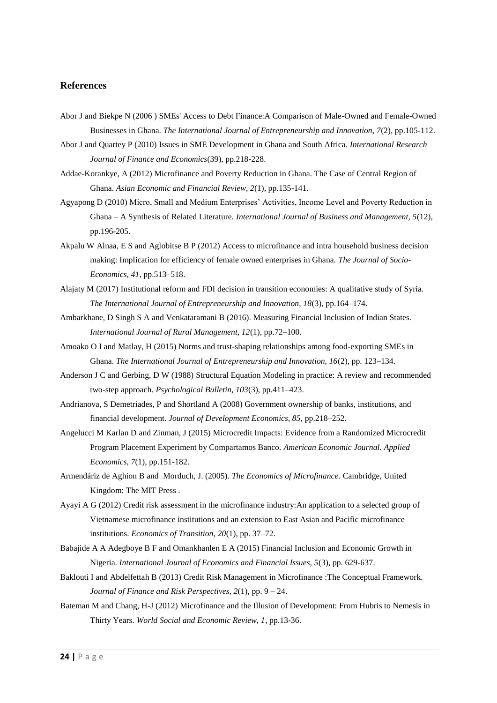#### **References**

- Abor J and Biekpe N (2006 ) SMEs' Access to Debt Finance:A Comparison of Male-Owned and Female-Owned Businesses in Ghana. *The International Journal of Entrepreneurship and Innovation, 7*(2), pp.105-112.
- Abor J and Quartey P (2010) Issues in SME Development in Ghana and South Africa. *International Research Journal of Finance and Economics*(39), pp.218-228.
- Addae-Korankye, A (2012) Microfinance and Poverty Reduction in Ghana. The Case of Central Region of Ghana. *Asian Economic and Financial Review, 2*(1), pp.135-141.
- Agyapong D (2010) Micro, Small and Medium Enterprises' Activities, Income Level and Poverty Reduction in Ghana – A Synthesis of Related Literature. *International Journal of Business and Management, 5*(12), pp.196-205.
- Akpalu W Alnaa, E S and Aglobitse B P (2012) Access to microfinance and intra household business decision making: Implication for efficiency of female owned enterprises in Ghana. *The Journal of Socio-Economics, 41*, pp.513–518.
- Alajaty M (2017) Institutional reform and FDI decision in transition economies: A qualitative study of Syria. *The International Journal of Entrepreneurship and Innovation, 18*(3), pp.164–174.
- Ambarkhane, D Singh S A and Venkataramani B (2016). Measuring Financial Inclusion of Indian States. *International Journal of Rural Management, 12*(1), pp.72–100.
- Amoako O I and Matlay, H (2015) Norms and trust-shaping relationships among food-exporting SMEs in Ghana. *The International Journal of Entrepreneurship and Innovation, 16*(2), pp. 123–134.
- Anderson J C and Gerbing, D W (1988) Structural Equation Modeling in practice: A review and recommended two-step approach. *Psychological Bulletin, 103*(3), pp.411–423.
- Andrianova, S Demetriades, P and Shortland A (2008) Government ownership of banks, institutions, and financial development. *Journal of Development Economics, 85*, pp.218–252.
- Angelucci M Karlan D and Zinman, J (2015) Microcredit Impacts: Evidence from a Randomized Microcredit Program Placement Experiment by Compartamos Banco. *American Economic Journal. Applied Economics, 7*(1), pp.151-182.
- Armendáriz de Aghion B and Morduch, J. (2005). *The Economics of Microfinance.* Cambridge, United Kingdom: The MIT Press .
- Ayayi A G (2012) Credit risk assessment in the microfinance industry:An application to a selected group of Vietnamese microfinance institutions and an extension to East Asian and Pacific microfinance institutions. *Economics of Transition, 20*(1), pp. 37–72.
- Babajide A A Adegboye B F and Omankhanlen E A (2015) Financial Inclusion and Economic Growth in Nigeria. *International Journal of Economics and Financial Issues, 5*(3), pp. 629-637.
- Baklouti I and Abdelfettah B (2013) Credit Risk Management in Microfinance :The Conceptual Framework. *Journal of Finance and Risk Perspectives, 2*(1), pp. 9 – 24.
- Bateman M and Chang, H-J (2012) Microfinance and the Illusion of Development: From Hubris to Nemesis in Thirty Years. *World Social and Economic Review, 1*, pp.13-36.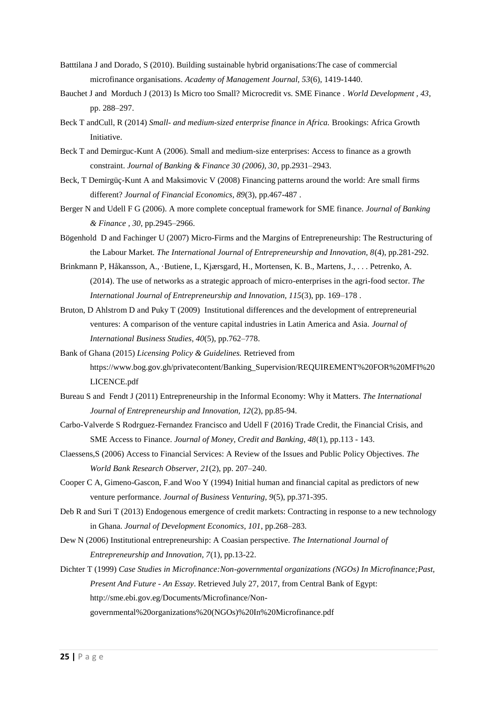- Batttilana J and Dorado, S (2010). Building sustainable hybrid organisations:The case of commercial microfinance organisations. *Academy of Management Journal, 53*(6), 1419-1440.
- Bauchet J and Morduch J (2013) Is Micro too Small? Microcredit vs. SME Finance . *World Development , 43*, pp. 288–297.
- Beck T andCull, R (2014) *Small- and medium-sized enterprise finance in Africa.* Brookings: Africa Growth Initiative.
- Beck T and Demirguc-Kunt A (2006). Small and medium-size enterprises: Access to finance as a growth constraint. *Journal of Banking & Finance 30 (2006), 30*, pp.2931–2943.
- Beck, T Demirgüç-Kunt A and Maksimovic V (2008) Financing patterns around the world: Are small firms different? *Journal of Financial Economics, 89*(3), pp.467-487 .
- Berger N and Udell F G (2006). A more complete conceptual framework for SME finance. *Journal of Banking & Finance , 30*, pp.2945–2966.
- Bögenhold D and Fachinger U (2007) Micro-Firms and the Margins of Entrepreneurship: The Restructuring of the Labour Market. *The International Journal of Entrepreneurship and Innovation, 8*(4), pp.281-292.
- Brinkmann P, Håkansson, A., ·Butiene, I., Kjærsgard, H., Mortensen, K. B., Martens, J., . . . Petrenko, A. (2014). The use of networks as a strategic approach of micro-enterprises in the agri-food sector. *The International Journal of Entrepreneurship and Innovation, 115*(3), pp. 169–178 .
- Bruton, D Ahlstrom D and Puky T (2009) Institutional differences and the development of entrepreneurial ventures: A comparison of the venture capital industries in Latin America and Asia. *Journal of International Business Studies, 40*(5), pp.762–778.
- Bank of Ghana (2015) *Licensing Policy & Guidelines.* Retrieved from https://www.bog.gov.gh/privatecontent/Banking\_Supervision/REQUIREMENT%20FOR%20MFI%20 LICENCE.pdf
- Bureau S and Fendt J (2011) Entrepreneurship in the Informal Economy: Why it Matters. *The International Journal of Entrepreneurship and Innovation, 12*(2), pp.85-94.
- Carbo-Valverde S Rodrguez-Fernandez Francisco and Udell F (2016) Trade Credit, the Financial Crisis, and SME Access to Finance. *Journal of Money, Credit and Banking, 48*(1), pp.113 - 143.
- Claessens,S (2006) Access to Financial Services: A Review of the Issues and Public Policy Objectives. *The World Bank Research Observer, 21*(2), pp. 207–240.
- Cooper C A, Gimeno-Gascon, F.and Woo Y (1994) Initial human and financial capital as predictors of new venture performance. *Journal of Business Venturing, 9*(5), pp.371-395.
- Deb R and Suri T (2013) Endogenous emergence of credit markets: Contracting in response to a new technology in Ghana. *Journal of Development Economics, 101*, pp.268–283.
- Dew N (2006) Institutional entrepreneurship: A Coasian perspective. *The International Journal of Entrepreneurship and Innovation, 7*(1), pp.13-22.
- Dichter T (1999) *Case Studies in Microfinance:Non-governmental organizations (NGOs) In Microfinance;Past, Present And Future - An Essay*. Retrieved July 27, 2017, from Central Bank of Egypt: http://sme.ebi.gov.eg/Documents/Microfinance/Non
	- governmental%20organizations%20(NGOs)%20In%20Microfinance.pdf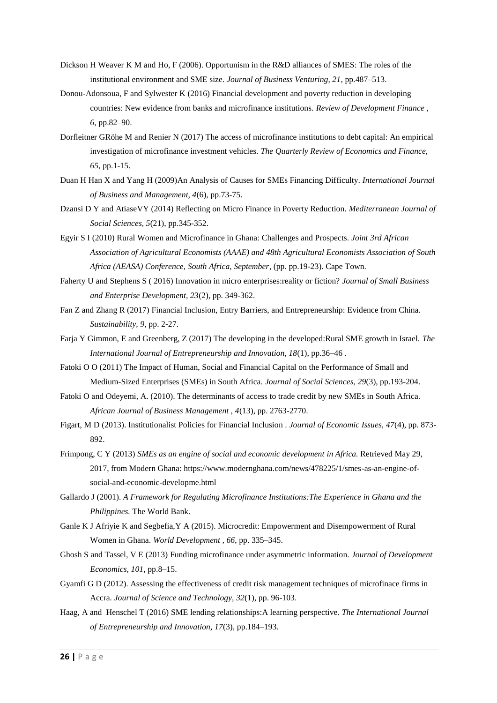- Dickson H Weaver K M and Ho, F (2006). Opportunism in the R&D alliances of SMES: The roles of the institutional environment and SME size. *Journal of Business Venturing, 21*, pp.487–513.
- Donou-Adonsoua, F and Sylwester K (2016) Financial development and poverty reduction in developing countries: New evidence from banks and microfinance institutions. *Review of Development Finance , 6*, pp.82–90.
- Dorfleitner GRöhe M and Renier N (2017) The access of microfinance institutions to debt capital: An empirical investigation of microfinance investment vehicles. *The Quarterly Review of Economics and Finance, 65*, pp.1-15.
- Duan H Han X and Yang H (2009)An Analysis of Causes for SMEs Financing Difficulty. *International Journal of Business and Management, 4*(6), pp.73-75.
- Dzansi D Y and AtiaseVY (2014) Reflecting on Micro Finance in Poverty Reduction. *Mediterranean Journal of Social Sciences, 5*(21), pp.345-352.
- Egyir S I (2010) Rural Women and Microfinance in Ghana: Challenges and Prospects. *Joint 3rd African Association of Agricultural Economists (AAAE) and 48th Agricultural Economists Association of South Africa (AEASA) Conference, South Africa, September*, (pp. pp.19-23). Cape Town.
- Faherty U and Stephens S ( 2016) Innovation in micro enterprises:reality or fiction? *Journal of Small Business and Enterprise Development, 23*(2), pp. 349-362.
- Fan Z and Zhang R (2017) Financial Inclusion, Entry Barriers, and Entrepreneurship: Evidence from China. *Sustainability, 9*, pp. 2-27.
- Farja Y Gimmon, E and Greenberg, Z (2017) The developing in the developed:Rural SME growth in Israel. *The International Journal of Entrepreneurship and Innovation, 18*(1), pp.36–46 .
- Fatoki O O (2011) The Impact of Human, Social and Financial Capital on the Performance of Small and Medium-Sized Enterprises (SMEs) in South Africa. *Journal of Social Sciences, 29*(3), pp.193-204.
- Fatoki O and Odeyemi, A. (2010). The determinants of access to trade credit by new SMEs in South Africa. *African Journal of Business Management , 4*(13), pp. 2763-2770.
- Figart, M D (2013). Institutionalist Policies for Financial Inclusion . *Journal of Economic Issues, 47*(4), pp. 873- 892.
- Frimpong, C Y (2013) *SMEs as an engine of social and economic development in Africa.* Retrieved May 29, 2017, from Modern Ghana: https://www.modernghana.com/news/478225/1/smes-as-an-engine-ofsocial-and-economic-developme.html
- Gallardo J (2001). *A Framework for Regulating Microfinance Institutions:The Experience in Ghana and the Philippines.* The World Bank.
- Ganle K J Afriyie K and Segbefia,Y A (2015). Microcredit: Empowerment and Disempowerment of Rural Women in Ghana. *World Development , 66*, pp. 335–345.
- Ghosh S and Tassel, V E (2013) Funding microfinance under asymmetric information. *Journal of Development Economics, 101*, pp.8–15.
- Gyamfi G D (2012). Assessing the effectiveness of credit risk management techniques of microfinace firms in Accra. *Journal of Science and Technology, 32*(1), pp. 96-103.
- Haag, A and Henschel T (2016) SME lending relationships:A learning perspective. *The International Journal of Entrepreneurship and Innovation, 17*(3), pp.184–193.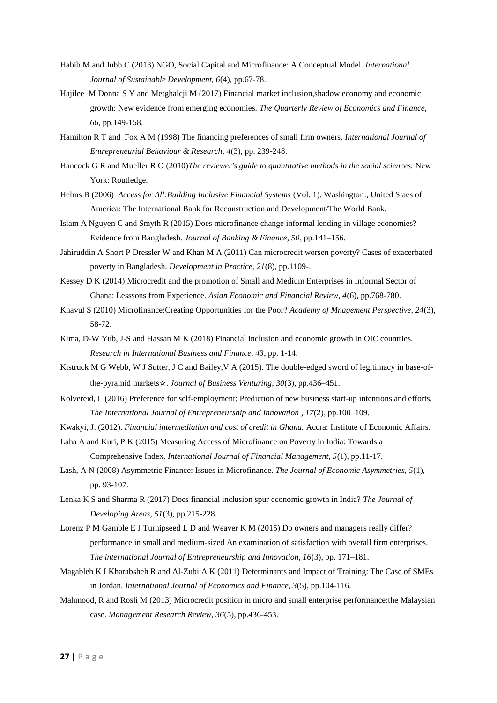- Habib M and Jubb C (2013) NGO, Social Capital and Microfinance: A Conceptual Model. *International Journal of Sustainable Development, 6*(4), pp.67-78.
- Hajilee M Donna S Y and Metghalcji M (2017) Financial market inclusion,shadow economy and economic growth: New evidence from emerging economies. *The Quarterly Review of Economics and Finance, 66*, pp.149-158.
- Hamilton R T and Fox A M (1998) The financing preferences of small firm owners. *International Journal of Entrepreneurial Behaviour & Research, 4*(3), pp. 239-248.
- Hancock G R and Mueller R O (2010)*The reviewer's guide to quantitative methods in the social sciences.* New York: Routledge.
- Helms B (2006) *Access for All:Building Inclusive Financial Systems* (Vol. 1). Washington:, United Staes of America: The International Bank for Reconstruction and Development/The World Bank.
- Islam A Nguyen C and Smyth R (2015) Does microfinance change informal lending in village economies? Evidence from Bangladesh. *Journal of Banking & Finance, 50*, pp.141–156.
- Jahiruddin A Short P Dressler W and Khan M A (2011) Can microcredit worsen poverty? Cases of exacerbated poverty in Bangladesh. *Development in Practice, 21*(8), pp.1109-.
- Kessey D K (2014) Microcredit and the promotion of Small and Medium Enterprises in Informal Sector of Ghana: Lesssons from Experience. *Asian Economic and Financial Review, 4*(6), pp.768-780.
- Khavul S (2010) Microfinance:Creating Opportunities for the Poor? *Academy of Mnagement Perspective, 24*(3), 58-72.
- Kima, D-W Yub, J-S and Hassan M K (2018) Financial inclusion and economic growth in OIC countries. *Research in International Business and Finance, 43*, pp. 1-14.
- Kistruck M G Webb, W J Sutter, J C and Bailey,V A (2015). The double-edged sword of legitimacy in base-ofthe-pyramid markets☆. *Journal of Business Venturing, 30*(3), pp.436–451.
- Kolvereid, L (2016) Preference for self-employment: Prediction of new business start-up intentions and efforts. *The International Journal of Entrepreneurship and Innovation , 17*(2), pp.100–109.
- Kwakyi, J. (2012). *Financial intermediation and cost of credit in Ghana.* Accra: Institute of Economic Affairs.

Laha A and Kuri, P K (2015) Measuring Access of Microfinance on Poverty in India: Towards a Comprehensive Index. *International Journal of Financial Management, 5*(1), pp.11-17.

- Lash, A N (2008) Asymmetric Finance: Issues in Microfinance. *The Journal of Economic Asymmetries, 5*(1), pp. 93-107.
- Lenka K S and Sharma R (2017) Does financial inclusion spur economic growth in India? *The Journal of Developing Areas, 51*(3), pp.215-228.
- Lorenz P M Gamble E J Turnipseed L D and Weaver K M (2015) Do owners and managers really differ? performance in small and medium-sized An examination of satisfaction with overall firm enterprises. *The international Journal of Entrepreneurship and Innovation, 16*(3), pp. 171–181.
- Magableh K I Kharabsheh R and Al-Zubi A K (2011) Determinants and Impact of Training: The Case of SMEs in Jordan. *International Journal of Economics and Finance, 3*(5), pp.104-116.
- Mahmood, R and Rosli M (2013) Microcredit position in micro and small enterprise performance:the Malaysian case. *Management Research Review, 36*(5), pp.436-453.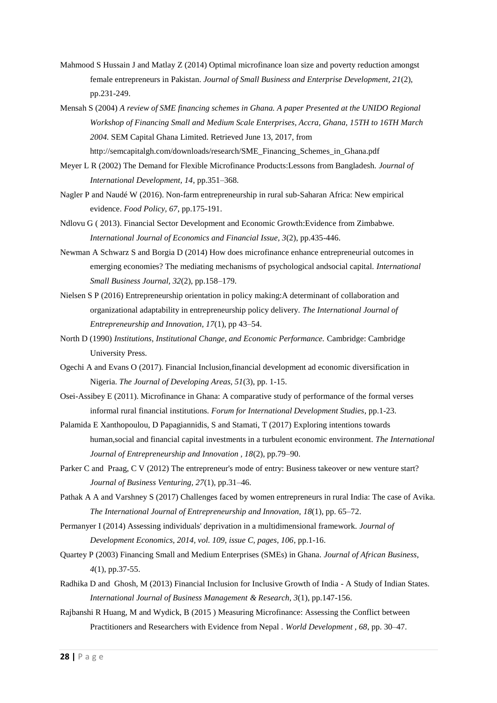- Mahmood S Hussain J and Matlay Z (2014) Optimal microfinance loan size and poverty reduction amongst female entrepreneurs in Pakistan. *Journal of Small Business and Enterprise Development, 21*(2), pp.231-249.
- Mensah S (2004) *A review of SME financing schemes in Ghana. A paper Presented at the UNIDO Regional Workshop of Financing Small and Medium Scale Enterprises, Accra, Ghana, 15TH to 16TH March 2004.* SEM Capital Ghana Limited. Retrieved June 13, 2017, from http://semcapitalgh.com/downloads/research/SME\_Financing\_Schemes\_in\_Ghana.pdf
- Meyer L R (2002) The Demand for Flexible Microfinance Products:Lessons from Bangladesh. *Journal of International Development, 14*, pp.351–368.
- Nagler P and Naudé W (2016). Non-farm entrepreneurship in rural sub-Saharan Africa: New empirical evidence. *Food Policy, 67*, pp.175-191.
- Ndlovu G ( 2013). Financial Sector Development and Economic Growth:Evidence from Zimbabwe. *International Journal of Economics and Financial Issue, 3*(2), pp.435-446.
- Newman A Schwarz S and Borgia D (2014) How does microfinance enhance entrepreneurial outcomes in emerging economies? The mediating mechanisms of psychological andsocial capital. *International Small Business Journal, 32*(2), pp.158–179.
- Nielsen S P (2016) Entrepreneurship orientation in policy making:A determinant of collaboration and organizational adaptability in entrepreneurship policy delivery. *The International Journal of Entrepreneurship and Innovation, 17*(1), pp 43–54.
- North D (1990) *Institutions, Institutional Change, and Economic Performance.* Cambridge: Cambridge University Press.
- Ogechi A and Evans O (2017). Financial Inclusion,financial development ad economic diversification in Nigeria. *The Journal of Developing Areas, 51*(3), pp. 1-15.
- Osei-Assibey E (2011). Microfinance in Ghana: A comparative study of performance of the formal verses informal rural financial institutions. *Forum for International Development Studies*, pp.1-23.
- Palamida E Xanthopoulou, D Papagiannidis, S and Stamati, T (2017) Exploring intentions towards human,social and financial capital investments in a turbulent economic environment. *The International Journal of Entrepreneurship and Innovation , 18*(2), pp.79–90.
- Parker C and Praag, C V (2012) The entrepreneur's mode of entry: Business takeover or new venture start? *Journal of Business Venturing, 27*(1), pp.31–46.
- Pathak A A and Varshney S (2017) Challenges faced by women entrepreneurs in rural India: The case of Avika. *The International Journal of Entrepreneurship and Innovation, 18*(1), pp. 65–72.
- Permanyer I (2014) Assessing individuals' deprivation in a multidimensional framework. *Journal of Development Economics, 2014, vol. 109, issue C, pages, 106*, pp.1-16.
- Quartey P (2003) Financing Small and Medium Enterprises (SMEs) in Ghana. *Journal of African Business, 4*(1), pp.37-55.
- Radhika D and Ghosh, M (2013) Financial Inclusion for Inclusive Growth of India A Study of Indian States. *International Journal of Business Management & Research, 3*(1), pp.147-156.
- Rajbanshi R Huang, M and Wydick, B (2015 ) Measuring Microfinance: Assessing the Conflict between Practitioners and Researchers with Evidence from Nepal . *World Development , 68*, pp. 30–47.